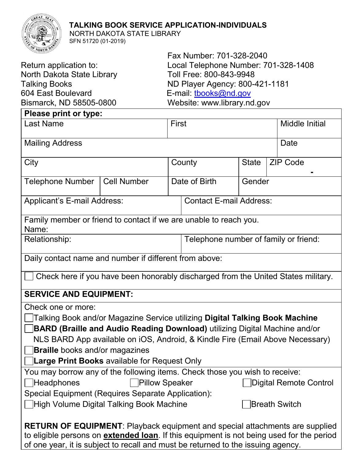## **TALKING BOOK SERVICE APPLICATION-INDIVIDUALS**



 NORTH DAKOTA STATE LIBRARY SFN 51720 (01-2019)

|                            | Fax Number: 701-328-2040             |
|----------------------------|--------------------------------------|
| Return application to:     | Local Telephone Number: 701-328-1408 |
| North Dakota State Library | Toll Free: 800-843-9948              |
| Talking Books              | ND Player Agency: 800-421-1181       |
| 604 East Boulevard         | E-mail: tbooks@nd.gov                |
| Bismarck, ND 58505-0800    | Website: www.library.nd.gov          |
|                            |                                      |

| Please print or type:                                                                                                                                                                                                                                                       |                    |                                       |  |              |                |                 |  |
|-----------------------------------------------------------------------------------------------------------------------------------------------------------------------------------------------------------------------------------------------------------------------------|--------------------|---------------------------------------|--|--------------|----------------|-----------------|--|
| <b>Last Name</b>                                                                                                                                                                                                                                                            |                    | First                                 |  |              | Middle Initial |                 |  |
| <b>Mailing Address</b><br>Date                                                                                                                                                                                                                                              |                    |                                       |  |              |                |                 |  |
| City                                                                                                                                                                                                                                                                        |                    | County                                |  | <b>State</b> |                | <b>ZIP Code</b> |  |
| <b>Telephone Number</b>                                                                                                                                                                                                                                                     | <b>Cell Number</b> | Date of Birth<br>Gender               |  |              |                |                 |  |
| Applicant's E-mail Address:                                                                                                                                                                                                                                                 |                    | <b>Contact E-mail Address:</b>        |  |              |                |                 |  |
| Family member or friend to contact if we are unable to reach you.<br>Name:                                                                                                                                                                                                  |                    |                                       |  |              |                |                 |  |
| Relationship:                                                                                                                                                                                                                                                               |                    | Telephone number of family or friend: |  |              |                |                 |  |
| Daily contact name and number if different from above:                                                                                                                                                                                                                      |                    |                                       |  |              |                |                 |  |
| Check here if you have been honorably discharged from the United States military.                                                                                                                                                                                           |                    |                                       |  |              |                |                 |  |
| <b>SERVICE AND EQUIPMENT:</b>                                                                                                                                                                                                                                               |                    |                                       |  |              |                |                 |  |
| Check one or more:                                                                                                                                                                                                                                                          |                    |                                       |  |              |                |                 |  |
| Talking Book and/or Magazine Service utilizing Digital Talking Book Machine                                                                                                                                                                                                 |                    |                                       |  |              |                |                 |  |
| <b>BARD (Braille and Audio Reading Download)</b> utilizing Digital Machine and/or                                                                                                                                                                                           |                    |                                       |  |              |                |                 |  |
| NLS BARD App available on iOS, Android, & Kindle Fire (Email Above Necessary)                                                                                                                                                                                               |                    |                                       |  |              |                |                 |  |
| <b>Braille</b> books and/or magazines                                                                                                                                                                                                                                       |                    |                                       |  |              |                |                 |  |
| Large Print Books available for Request Only                                                                                                                                                                                                                                |                    |                                       |  |              |                |                 |  |
| You may borrow any of the following items. Check those you wish to receive:                                                                                                                                                                                                 |                    |                                       |  |              |                |                 |  |
| Headphones<br><b>Pillow Speaker</b><br>Digital Remote Control                                                                                                                                                                                                               |                    |                                       |  |              |                |                 |  |
| Special Equipment (Requires Separate Application):                                                                                                                                                                                                                          |                    |                                       |  |              |                |                 |  |
| High Volume Digital Talking Book Machine<br><b>Breath Switch</b>                                                                                                                                                                                                            |                    |                                       |  |              |                |                 |  |
| <b>RETURN OF EQUIPMENT:</b> Playback equipment and special attachments are supplied<br>to eligible persons on <b>extended loan</b> . If this equipment is not being used for the period<br>of one year, it is subject to recall and must be returned to the issuing agency. |                    |                                       |  |              |                |                 |  |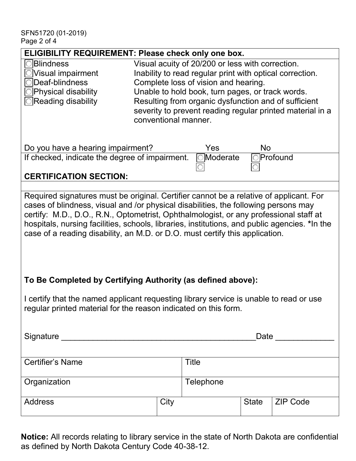| <b>ELIGIBILITY REQUIREMENT: Please check only one box.</b>                                    |                                                           |                                                      |              |                 |
|-----------------------------------------------------------------------------------------------|-----------------------------------------------------------|------------------------------------------------------|--------------|-----------------|
| <b>OBlindness</b>                                                                             |                                                           | Visual acuity of 20/200 or less with correction.     |              |                 |
| OVisual impairment                                                                            | Inability to read regular print with optical correction.  |                                                      |              |                 |
| $\bigcirc$ Deaf-blindness                                                                     |                                                           | Complete loss of vision and hearing.                 |              |                 |
| $\bigcirc$ Physical disability                                                                | Unable to hold book, turn pages, or track words.          |                                                      |              |                 |
| $\bigcirc$ Reading disability                                                                 |                                                           | Resulting from organic dysfunction and of sufficient |              |                 |
|                                                                                               | severity to prevent reading regular printed material in a |                                                      |              |                 |
|                                                                                               | conventional manner.                                      |                                                      |              |                 |
|                                                                                               |                                                           |                                                      |              |                 |
| Do you have a hearing impairment?                                                             |                                                           | Yes                                                  | <b>No</b>    |                 |
| If checked, indicate the degree of impairment.                                                |                                                           | <b>o</b> Moderate                                    |              | Profound        |
|                                                                                               |                                                           |                                                      |              |                 |
| <b>CERTIFICATION SECTION:</b>                                                                 |                                                           |                                                      |              |                 |
|                                                                                               |                                                           |                                                      |              |                 |
| Required signatures must be original. Certifier cannot be a relative of applicant. For        |                                                           |                                                      |              |                 |
| cases of blindness, visual and /or physical disabilities, the following persons may           |                                                           |                                                      |              |                 |
| certify: M.D., D.O., R.N., Optometrist, Ophthalmologist, or any professional staff at         |                                                           |                                                      |              |                 |
| hospitals, nursing facilities, schools, libraries, institutions, and public agencies. *In the |                                                           |                                                      |              |                 |
| case of a reading disability, an M.D. or D.O. must certify this application.                  |                                                           |                                                      |              |                 |
|                                                                                               |                                                           |                                                      |              |                 |
|                                                                                               |                                                           |                                                      |              |                 |
|                                                                                               |                                                           |                                                      |              |                 |
|                                                                                               |                                                           |                                                      |              |                 |
| To Be Completed by Certifying Authority (as defined above):                                   |                                                           |                                                      |              |                 |
| I certify that the named applicant requesting library service is unable to read or use        |                                                           |                                                      |              |                 |
|                                                                                               |                                                           |                                                      |              |                 |
| regular printed material for the reason indicated on this form.                               |                                                           |                                                      |              |                 |
|                                                                                               |                                                           |                                                      |              |                 |
|                                                                                               |                                                           |                                                      |              |                 |
|                                                                                               |                                                           |                                                      |              |                 |
|                                                                                               |                                                           |                                                      |              |                 |
| Certifier's Name                                                                              |                                                           | <b>Title</b>                                         |              |                 |
|                                                                                               |                                                           |                                                      |              |                 |
| Organization                                                                                  |                                                           | Telephone                                            |              |                 |
|                                                                                               |                                                           |                                                      |              |                 |
| <b>Address</b>                                                                                | City                                                      |                                                      | <b>State</b> | <b>ZIP Code</b> |
|                                                                                               |                                                           |                                                      |              |                 |

**Notice:** All records relating to library service in the state of North Dakota are confidential as defined by North Dakota Century Code 40-38-12.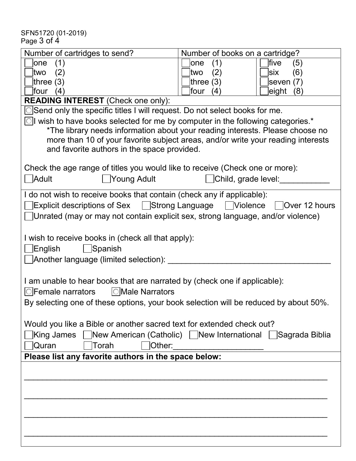SFN51720 (01-2019) Page 3 of 4

| Number of cartridges to send?                                                                                                                                                                                                                                                                                    | Number of books on a cartridge? |  |  |  |
|------------------------------------------------------------------------------------------------------------------------------------------------------------------------------------------------------------------------------------------------------------------------------------------------------------------|---------------------------------|--|--|--|
| (1)<br>lone                                                                                                                                                                                                                                                                                                      | five<br>(1)<br>lone<br>(5)      |  |  |  |
| two<br>(2)                                                                                                                                                                                                                                                                                                       | (2)<br>(6)<br>ltwo<br>lsix      |  |  |  |
| three $(3)$                                                                                                                                                                                                                                                                                                      | three $(3)$<br>seven $(7)$      |  |  |  |
| four<br>(4)                                                                                                                                                                                                                                                                                                      | four<br>eight (8)<br>(4)        |  |  |  |
| <b>READING INTEREST</b> (Check one only):                                                                                                                                                                                                                                                                        |                                 |  |  |  |
| ◯Send only the specific titles I will request. Do not select books for me.                                                                                                                                                                                                                                       |                                 |  |  |  |
| $\boxed{\circ}$ wish to have books selected for me by computer in the following categories.*<br>*The library needs information about your reading interests. Please choose no<br>more than 10 of your favorite subject areas, and/or write your reading interests<br>and favorite authors in the space provided. |                                 |  |  |  |
| Check the age range of titles you would like to receive (Check one or more):                                                                                                                                                                                                                                     |                                 |  |  |  |
| Adult<br>Young Adult                                                                                                                                                                                                                                                                                             | Child, grade level:             |  |  |  |
| I do not wish to receive books that contain (check any if applicable):<br><b>Explicit descriptions of Sex   Strong Language   Violence</b><br>$\vert$ Over 12 hours<br>Unrated (may or may not contain explicit sex, strong language, and/or violence)                                                           |                                 |  |  |  |
| I wish to receive books in (check all that apply):<br>English<br>Spanish<br>Another language (limited selection): ____                                                                                                                                                                                           |                                 |  |  |  |
| I am unable to hear books that are narrated by (check one if applicable):<br>$\bigcirc$ Male Narrators<br>$\bigcirc$ Female narrators                                                                                                                                                                            |                                 |  |  |  |
| By selecting one of these options, your book selection will be reduced by about 50%.                                                                                                                                                                                                                             |                                 |  |  |  |
| Would you like a Bible or another sacred text for extended check out?                                                                                                                                                                                                                                            |                                 |  |  |  |
| King James   New American (Catholic)   New International   Sagrada Biblia<br>Torah<br>Other:<br> Quran                                                                                                                                                                                                           |                                 |  |  |  |
| Please list any favorite authors in the space below:                                                                                                                                                                                                                                                             |                                 |  |  |  |
|                                                                                                                                                                                                                                                                                                                  |                                 |  |  |  |
|                                                                                                                                                                                                                                                                                                                  |                                 |  |  |  |
|                                                                                                                                                                                                                                                                                                                  |                                 |  |  |  |
|                                                                                                                                                                                                                                                                                                                  |                                 |  |  |  |
|                                                                                                                                                                                                                                                                                                                  |                                 |  |  |  |
|                                                                                                                                                                                                                                                                                                                  |                                 |  |  |  |
|                                                                                                                                                                                                                                                                                                                  |                                 |  |  |  |
|                                                                                                                                                                                                                                                                                                                  |                                 |  |  |  |
|                                                                                                                                                                                                                                                                                                                  |                                 |  |  |  |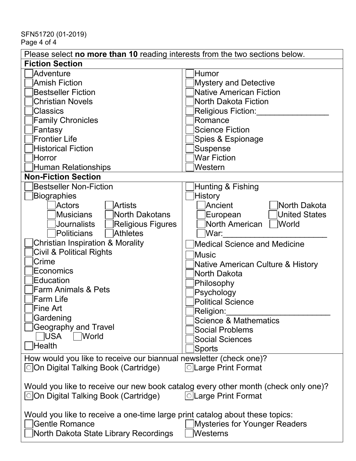SFN51720 (01-2019) Page 4 of 4

| Please select no more than 10 reading interests from the two sections below.       |                                      |  |  |  |
|------------------------------------------------------------------------------------|--------------------------------------|--|--|--|
| <b>Fiction Section</b>                                                             |                                      |  |  |  |
| Adventure                                                                          | <b>Humor</b>                         |  |  |  |
| <b>Amish Fiction</b>                                                               | <b>Mystery and Detective</b>         |  |  |  |
| <b>Bestseller Fiction</b>                                                          | <b>Native American Fiction</b>       |  |  |  |
| <b>Christian Novels</b>                                                            | North Dakota Fiction                 |  |  |  |
| <b>Classics</b>                                                                    | Religious Fiction:                   |  |  |  |
| <b>Family Chronicles</b>                                                           | Romance                              |  |  |  |
| Fantasy                                                                            | <b>Science Fiction</b>               |  |  |  |
| <b>Frontier Life</b>                                                               | Spies & Espionage                    |  |  |  |
| <b>Historical Fiction</b>                                                          | Suspense                             |  |  |  |
| Horror                                                                             | <b>War Fiction</b>                   |  |  |  |
| <b>Human Relationships</b>                                                         | Western                              |  |  |  |
| <b>Non-Fiction Section</b>                                                         |                                      |  |  |  |
| <b>Bestseller Non-Fiction</b>                                                      | Hunting & Fishing                    |  |  |  |
| <b>Biographies</b>                                                                 | <b>History</b>                       |  |  |  |
| Actors<br>Artists                                                                  | Ancient<br>North Dakota              |  |  |  |
| Musicians<br>North Dakotans                                                        | <b>United States</b><br>European     |  |  |  |
| Journalists<br>Religious Figures                                                   | North American<br> World             |  |  |  |
| Politicians<br>Athletes                                                            | War:                                 |  |  |  |
| <b>Christian Inspiration &amp; Morality</b>                                        | <b>Medical Science and Medicine</b>  |  |  |  |
| <b>Civil &amp; Political Rights</b>                                                | Music                                |  |  |  |
| Crime                                                                              | Native American Culture & History    |  |  |  |
| Economics                                                                          | North Dakota                         |  |  |  |
| Education                                                                          | Philosophy                           |  |  |  |
| <b>Farm Animals &amp; Pets</b>                                                     | Psychology                           |  |  |  |
| <b>Farm Life</b>                                                                   | <b>Political Science</b>             |  |  |  |
| Fine Art                                                                           | Religion:                            |  |  |  |
| Gardening                                                                          | Science & Mathematics                |  |  |  |
| <b>Geography and Travel</b>                                                        | <b>Social Problems</b>               |  |  |  |
| <b>USA</b><br>  World                                                              | <b>Social Sciences</b>               |  |  |  |
| <b>Health</b>                                                                      | Sports                               |  |  |  |
| How would you like to receive our biannual newsletter (check one)?                 |                                      |  |  |  |
| ○ On Digital Talking Book (Cartridge)                                              | <b>©Large Print Format</b>           |  |  |  |
|                                                                                    |                                      |  |  |  |
| Would you like to receive our new book catalog every other month (check only one)? |                                      |  |  |  |
| ○ On Digital Talking Book (Cartridge)                                              | <b>OLarge Print Format</b>           |  |  |  |
|                                                                                    |                                      |  |  |  |
| Would you like to receive a one-time large print catalog about these topics:       |                                      |  |  |  |
| <b>Gentle Romance</b>                                                              | <b>Mysteries for Younger Readers</b> |  |  |  |
| North Dakota State Library Recordings                                              | Westerns                             |  |  |  |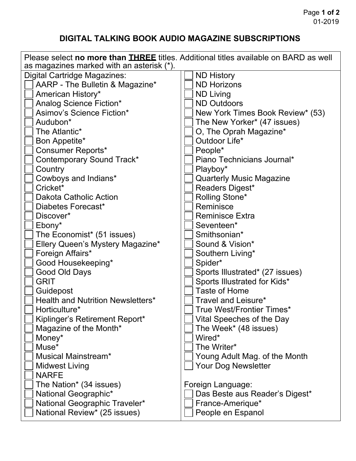## **DIGITAL TALKING BOOK AUDIO MAGAZINE SUBSCRIPTIONS**

| Please select no more than <b>THREE</b> titles. Additional titles available on BARD as well<br>as magazines marked with an asterisk (*). |                                  |  |  |  |
|------------------------------------------------------------------------------------------------------------------------------------------|----------------------------------|--|--|--|
| Digital Cartridge Magazines:                                                                                                             | <b>ND History</b>                |  |  |  |
| AARP - The Bulletin & Magazine*                                                                                                          | <b>ND Horizons</b>               |  |  |  |
| American History*                                                                                                                        | <b>ND Living</b>                 |  |  |  |
| Analog Science Fiction*                                                                                                                  | <b>ND Outdoors</b>               |  |  |  |
| Asimov's Science Fiction*                                                                                                                | New York Times Book Review* (53) |  |  |  |
| Audubon*                                                                                                                                 | The New Yorker* (47 issues)      |  |  |  |
| The Atlantic*                                                                                                                            | O, The Oprah Magazine*           |  |  |  |
| Bon Appetite*                                                                                                                            | Outdoor Life*                    |  |  |  |
| <b>Consumer Reports*</b>                                                                                                                 | People*                          |  |  |  |
| Contemporary Sound Track*                                                                                                                | Piano Technicians Journal*       |  |  |  |
| Country                                                                                                                                  | Playboy*                         |  |  |  |
| Cowboys and Indians*                                                                                                                     | <b>Quarterly Music Magazine</b>  |  |  |  |
| Cricket*                                                                                                                                 | Readers Digest*                  |  |  |  |
| Dakota Catholic Action                                                                                                                   | Rolling Stone*                   |  |  |  |
| Diabetes Forecast*                                                                                                                       | Reminisce                        |  |  |  |
| Discover*                                                                                                                                | <b>Reminisce Extra</b>           |  |  |  |
| Ebony*                                                                                                                                   | Seventeen*                       |  |  |  |
| The Economist* (51 issues)                                                                                                               | Smithsonian*                     |  |  |  |
| Ellery Queen's Mystery Magazine*                                                                                                         | Sound & Vision*                  |  |  |  |
| Foreign Affairs*                                                                                                                         | Southern Living*                 |  |  |  |
| Good Housekeeping*                                                                                                                       | Spider*                          |  |  |  |
| Good Old Days                                                                                                                            | Sports Illustrated* (27 issues)  |  |  |  |
| <b>GRIT</b>                                                                                                                              | Sports Illustrated for Kids*     |  |  |  |
| Guidepost                                                                                                                                | <b>Taste of Home</b>             |  |  |  |
| <b>Health and Nutrition Newsletters*</b>                                                                                                 | Travel and Leisure*              |  |  |  |
| Horticulture*                                                                                                                            | True West/Frontier Times*        |  |  |  |
| Kiplinger's Retirement Report*                                                                                                           | Vital Speeches of the Day        |  |  |  |
| Magazine of the Month*                                                                                                                   | The Week* (48 issues)            |  |  |  |
| Money*                                                                                                                                   | Wired*                           |  |  |  |
| Muse*                                                                                                                                    | The Writer*                      |  |  |  |
| Musical Mainstream*                                                                                                                      | Young Adult Mag. of the Month    |  |  |  |
| <b>Midwest Living</b>                                                                                                                    | Your Dog Newsletter              |  |  |  |
| <b>NARFE</b>                                                                                                                             |                                  |  |  |  |
| The Nation <sup>*</sup> (34 issues)                                                                                                      | Foreign Language:                |  |  |  |
| National Geographic*                                                                                                                     | Das Beste aus Reader's Digest*   |  |  |  |
| National Geographic Traveler*                                                                                                            | France-Amerique*                 |  |  |  |
| National Review* (25 issues)                                                                                                             | People en Espanol                |  |  |  |